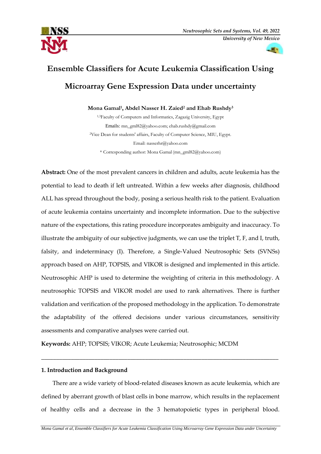



# **Ensemble Classifiers for Acute Leukemia Classification Using Microarray Gene Expression Data under uncertainty**

# **Mona Gamal<sup>1</sup> , Abdel Nasser H. Zaied<sup>2</sup> and Ehab Rushdy<sup>3</sup>**

1,3Faculty of Computers and Informatics, Zagazig University, Egypt Emails: mn\_gml82@yahoo.com; ehab.rushdy@gmail.com <sup>2</sup>Vice Dean for students' affairs, Faculty of Computer Science, MIU, Egypt. Email: [nasserhr@yahoo.com](mailto:nasserhr@yahoo.com) \* Corresponding author: Mona Gamal [\(mn\\_gml82@yahoo.com\)](mailto:mn_gml82@yahoo.com)

**Abstract:** One of the most prevalent cancers in children and adults, acute leukemia has the potential to lead to death if left untreated. Within a few weeks after diagnosis, childhood ALL has spread throughout the body, posing a serious health risk to the patient. Evaluation of acute leukemia contains uncertainty and incomplete information. Due to the subjective nature of the expectations, this rating procedure incorporates ambiguity and inaccuracy. To illustrate the ambiguity of our subjective judgments, we can use the triplet T, F, and I, truth, falsity, and indeterminacy (I). Therefore, a Single-Valued Neutrosophic Sets (SVNSs) approach based on AHP, TOPSIS, and VIKOR is designed and implemented in this article. Neutrosophic AHP is used to determine the weighting of criteria in this methodology. A neutrosophic TOPSIS and VIKOR model are used to rank alternatives. There is further validation and verification of the proposed methodology in the application. To demonstrate the adaptability of the offered decisions under various circumstances, sensitivity assessments and comparative analyses were carried out.

**Keywords:** AHP; TOPSIS; VIKOR; Acute Leukemia; Neutrosophic; MCDM

## **1. Introduction and Background**

There are a wide variety of blood-related diseases known as acute leukemia, which are defined by aberrant growth of blast cells in bone marrow, which results in the replacement of healthy cells and a decrease in the 3 hematopoietic types in peripheral blood.

\_\_\_\_\_\_\_\_\_\_\_\_\_\_\_\_\_\_\_\_\_\_\_\_\_\_\_\_\_\_\_\_\_\_\_\_\_\_\_\_\_\_\_\_\_\_\_\_\_\_\_\_\_\_\_\_\_\_\_\_\_\_\_\_\_\_\_\_\_\_\_\_\_\_\_\_\_\_\_\_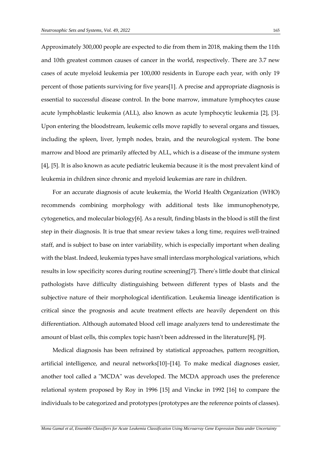Approximately 300,000 people are expected to die from them in 2018, making them the 11th and 10th greatest common causes of cancer in the world, respectively. There are 3.7 new cases of acute myeloid leukemia per 100,000 residents in Europe each year, with only 19 percent of those patients surviving for five years[1]. A precise and appropriate diagnosis is essential to successful disease control. In the bone marrow, immature lymphocytes cause acute lymphoblastic leukemia (ALL), also known as acute lymphocytic leukemia [2], [3]. Upon entering the bloodstream, leukemic cells move rapidly to several organs and tissues, including the spleen, liver, lymph nodes, brain, and the neurological system. The bone marrow and blood are primarily affected by ALL, which is a disease of the immune system [4], [5]. It is also known as acute pediatric leukemia because it is the most prevalent kind of leukemia in children since chronic and myeloid leukemias are rare in children.

For an accurate diagnosis of acute leukemia, the World Health Organization (WHO) recommends combining morphology with additional tests like immunophenotype, cytogenetics, and molecular biology[6]. As a result, finding blasts in the blood is still the first step in their diagnosis. It is true that smear review takes a long time, requires well-trained staff, and is subject to base on inter variability, which is especially important when dealing with the blast. Indeed, leukemia types have small interclass morphological variations, which results in low specificity scores during routine screening[7]. There's little doubt that clinical pathologists have difficulty distinguishing between different types of blasts and the subjective nature of their morphological identification. Leukemia lineage identification is critical since the prognosis and acute treatment effects are heavily dependent on this differentiation. Although automated blood cell image analyzers tend to underestimate the amount of blast cells, this complex topic hasn't been addressed in the literature[8], [9].

Medical diagnosis has been refrained by statistical approaches, pattern recognition, artificial intelligence, and neural networks[10]–[14]. To make medical diagnoses easier, another tool called a "MCDA" was developed. The MCDA approach uses the preference relational system proposed by Roy in 1996 [15] and Vincke in 1992 [16] to compare the individuals to be categorized and prototypes (prototypes are the reference points of classes).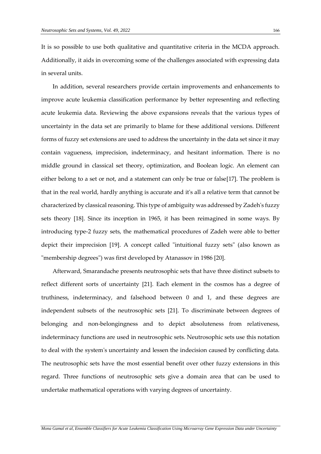It is so possible to use both qualitative and quantitative criteria in the MCDA approach. Additionally, it aids in overcoming some of the challenges associated with expressing data in several units.

In addition, several researchers provide certain improvements and enhancements to improve acute leukemia classification performance by better representing and reflecting acute leukemia data. Reviewing the above expansions reveals that the various types of uncertainty in the data set are primarily to blame for these additional versions. Different forms of fuzzy set extensions are used to address the uncertainty in the data set since it may contain vagueness, imprecision, indeterminacy, and hesitant information. There is no middle ground in classical set theory, optimization, and Boolean logic. An element can either belong to a set or not, and a statement can only be true or false[17]. The problem is that in the real world, hardly anything is accurate and it's all a relative term that cannot be characterized by classical reasoning. This type of ambiguity was addressed by Zadeh's fuzzy sets theory [18]. Since its inception in 1965, it has been reimagined in some ways. By introducing type-2 fuzzy sets, the mathematical procedures of Zadeh were able to better depict their imprecision [19]. A concept called "intuitional fuzzy sets" (also known as "membership degrees") was first developed by Atanassov in 1986 [20].

Afterward, Smarandache presents neutrosophic sets that have three distinct subsets to reflect different sorts of uncertainty [21]. Each element in the cosmos has a degree of truthiness, indeterminacy, and falsehood between 0 and 1, and these degrees are independent subsets of the neutrosophic sets [21]. To discriminate between degrees of belonging and non-belongingness and to depict absoluteness from relativeness, indeterminacy functions are used in neutrosophic sets. Neutrosophic sets use this notation to deal with the system's uncertainty and lessen the indecision caused by conflicting data. The neutrosophic sets have the most essential benefit over other fuzzy extensions in this regard. Three functions of neutrosophic sets give a domain area that can be used to undertake mathematical operations with varying degrees of uncertainty.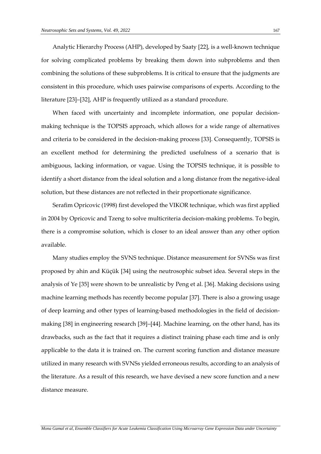Analytic Hierarchy Process (AHP), developed by Saaty [22], is a well-known technique for solving complicated problems by breaking them down into subproblems and then combining the solutions of these subproblems. It is critical to ensure that the judgments are consistent in this procedure, which uses pairwise comparisons of experts. According to the literature [23]–[32], AHP is frequently utilized as a standard procedure.

When faced with uncertainty and incomplete information, one popular decisionmaking technique is the TOPSIS approach, which allows for a wide range of alternatives and criteria to be considered in the decision-making process [33]. Consequently, TOPSIS is an excellent method for determining the predicted usefulness of a scenario that is ambiguous, lacking information, or vague. Using the TOPSIS technique, it is possible to identify a short distance from the ideal solution and a long distance from the negative-ideal solution, but these distances are not reflected in their proportionate significance.

Serafim Opricovic (1998) first developed the VIKOR technique, which was first applied in 2004 by Opricovic and Tzeng to solve multicriteria decision-making problems. To begin, there is a compromise solution, which is closer to an ideal answer than any other option available.

Many studies employ the SVNS technique. Distance measurement for SVNSs was first proposed by ahin and Küçük [34] using the neutrosophic subset idea. Several steps in the analysis of Ye [35] were shown to be unrealistic by Peng et al. [36]. Making decisions using machine learning methods has recently become popular [37]. There is also a growing usage of deep learning and other types of learning-based methodologies in the field of decisionmaking [38] in engineering research [39]–[44]. Machine learning, on the other hand, has its drawbacks, such as the fact that it requires a distinct training phase each time and is only applicable to the data it is trained on. The current scoring function and distance measure utilized in many research with SVNSs yielded erroneous results, according to an analysis of the literature. As a result of this research, we have devised a new score function and a new distance measure.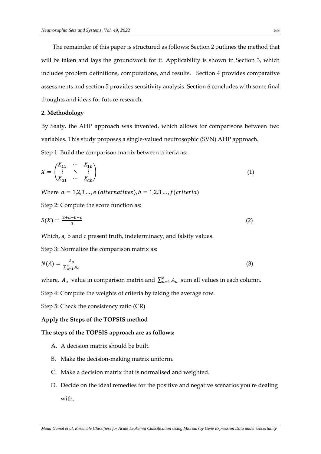The remainder of this paper is structured as follows: Section 2 outlines the method that will be taken and lays the groundwork for it. Applicability is shown in Section 3, which includes problem definitions, computations, and results. Section 4 provides comparative assessments and section 5 provides sensitivity analysis. Section 6 concludes with some final thoughts and ideas for future research.

## **2. Methodology**

By Saaty, the AHP approach was invented, which allows for comparisons between two variables. This study proposes a single-valued neutrosophic (SVN) AHP approach.

Step 1: Build the comparison matrix between criteria as:

$$
X = \begin{pmatrix} X_{11} & \cdots & X_{1b} \\ \vdots & \ddots & \vdots \\ X_{a1} & \cdots & X_{ab} \end{pmatrix} \tag{1}
$$

Where  $a = 1,2,3...$ , e (alternatives),  $b = 1,2,3...$ , f (criteria)

Step 2: Compute the score function as:

$$
S(X) = \frac{2+a-b-c}{3} \tag{2}
$$

Which, a, b and c present truth, indeterminacy, and falsity values.

Step 3: Normalize the comparison matrix as:

$$
N(A) = \frac{A_a}{\sum_{a=1}^{e} A_a} \tag{3}
$$

where,  $A_a$  value in comparison matrix and  $\sum_{a=1}^{e} A_a$  sum all values in each column.

Step 4: Compute the weights of criteria by taking the average row.

Step 5: Check the consistency ratio (CR)

## **Apply the Steps of the TOPSIS method**

## **The steps of the TOPSIS approach are as follows:**

- A. A decision matrix should be built.
- B. Make the decision-making matrix uniform.
- C. Make a decision matrix that is normalised and weighted.
- D. Decide on the ideal remedies for the positive and negative scenarios you're dealing with.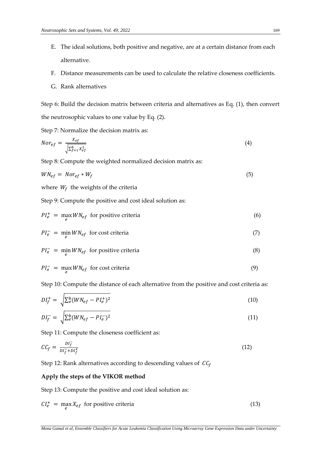- E. The ideal solutions, both positive and negative, are at a certain distance from each alternative.
- F. Distance measurements can be used to calculate the relative closeness coefficients.
- G. Rank alternatives

Step 6: Build the decision matrix between criteria and alternatives as Eq. (1), then convert the neutrosophic values to one value by Eq. (2).

Step 7: Normalize the decision matrix as:

$$
Nor_{ef} = \frac{X_{ef}}{\sqrt{\sum_{f=1}^{b} X_{ef}^{2}}}
$$
\n(4)

Step 8: Compute the weighted normalized decision matrix as:

$$
W N_{ef} = N \cdot r_{ef} * W_f \tag{5}
$$

where  $W_f$  the weights of the criteria

Step 9: Compute the positive and cost ideal solution as:

$$
PI_e^+ = \max_e W N_{ef} \text{ for positive criteria} \tag{6}
$$

$$
PI_e^- = \min_e W N_{ef} \text{ for cost criteria}
$$
 (7)

$$
PI_e^- = \min_e W N_{ef} \text{ for positive criteria} \tag{8}
$$

$$
PI_e^- = \max_e W N_{ef} \text{ for cost criteria}
$$
 (9)

Step 10: Compute the distance of each alternative from the positive and cost criteria as:

$$
DI_f^+ = \sqrt{\sum_e^b (W N_{ef} - P I_e^+)^2}
$$
 (10)

$$
DI_f^- = \sqrt{\sum_e^b (W N_{ef} - P I_e^-)^2}
$$
\n(11)

Step 11: Compute the closeness coefficient as:

$$
CC_f = \frac{DI_f^-}{DI_f^- + DI_f^+}
$$
 (12)

Step 12: Rank alternatives according to descending values of  $CC_f$ 

## **Apply the steps of the VIKOR method**

Step 13: Compute the positive and cost ideal solution as:

$$
CI_e^+ = \max_e X_{ef} \text{ for positive criteria}
$$
 (13)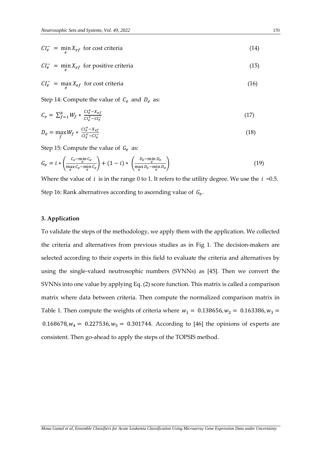$$
CI_e^- = \min_e X_{ef} \text{ for cost criteria}
$$
 (14)

$$
CI_e^- = \min_e X_{ef}
$$
 for positive criteria (15)

$$
CI_e^- = \max_e X_{ef} \text{ for cost criteria}
$$
 (16)

Step 14: Compute the value of  $C_e$  and  $D_e$  as:

$$
C_e = \sum_{f=1}^{b} W_f * \frac{Cl_e^+ - X_{ef}}{Cl_e^+ - Cl_e^-}
$$
 (17)

$$
D_e = \max_f W_f * \frac{ct_e^+ - X_{ef}}{ct_e^+ - ct_e^-}
$$
\n
$$
\tag{18}
$$

Step 15: Compute the value of  $G_e$  as:

$$
G_e = i * \left(\frac{c_e - \min_e c_e}{\max_e c_e - \min_e c_e}\right) + (1 - i) * \left(\frac{D_e - \min_e D_e}{\max_e D_e - \min_e D_e}\right)
$$
(19)

Where the value of  $i$  is in the range 0 to 1. It refers to the utility degree. We use the  $i = 0.5$ . Step 16: Rank alternatives according to ascending value of  $G_e$ .

# **3. Application**

To validate the steps of the methodology, we apply them with the application. We collected the criteria and alternatives from previous studies as in Fig 1. The decision-makers are selected according to their experts in this field to evaluate the criteria and alternatives by using the single-valued neutrosophic numbers (SVNNs) as [45]. Then we convert the SVNNs into one value by applying Eq. (2) score function. This matrix is called a comparison matrix where data between criteria. Then compute the normalized comparison matrix in Table 1. Then compute the weights of criteria where  $w_1 = 0.138656$ ,  $w_2 = 0.163386$ ,  $w_3 =$ 0.168678,  $w_4 = 0.227536$ ,  $w_5 = 0.301744$ . According to [46] the opinions of experts are consistent. Then go-ahead to apply the steps of the TOPSIS method.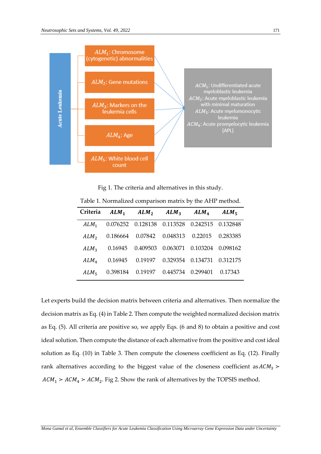

Fig 1. The criteria and alternatives in this study.

|                  | Criteria ALM <sub>1</sub> ALM <sub>2</sub> ALM <sub>3</sub> ALM <sub>4</sub> ALM <sub>5</sub> |                                                  |          |
|------------------|-----------------------------------------------------------------------------------------------|--------------------------------------------------|----------|
| $ALM_1$          |                                                                                               | 0.076252  0.128138  0.113528  0.242515  0.132848 |          |
| ALM <sub>2</sub> |                                                                                               | 0.186664  0.07842  0.048313  0.22015             | 0.283385 |
| ALM <sub>3</sub> |                                                                                               | 0.16945  0.409503  0.063071  0.103204  0.098162  |          |
| ALM <sub>4</sub> |                                                                                               | 0.16945  0.19197  0.329354  0.134731  0.312175   |          |
| ALM <sub>5</sub> |                                                                                               | 0.398184  0.19197  0.445734  0.299401  0.17343   |          |

Table 1. Normalized comparison matrix by the AHP method.

Let experts build the decision matrix between criteria and alternatives. Then normalize the decision matrix as Eq. (4) in Table 2. Then compute the weighted normalized decision matrix as Eq. (5). All criteria are positive so, we apply Eqs. (6 and 8) to obtain a positive and cost ideal solution. Then compute the distance of each alternative from the positive and cost ideal solution as Eq. (10) in Table 3. Then compute the closeness coefficient as Eq. (12). Finally rank alternatives according to the biggest value of the closeness coefficient as  $ACM_3$  >  $ACM_1 > ACM_4 > ACM_2$ . Fig 2. Show the rank of alternatives by the TOPSIS method.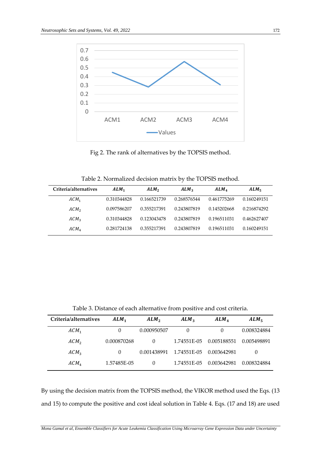

Fig 2. The rank of alternatives by the TOPSIS method.

| Criteria/alternatives | $ALM_1$     | ALM <sub>2</sub> | ALM <sub>3</sub> | ALM <sub>4</sub> | $ALM_{5}$   |
|-----------------------|-------------|------------------|------------------|------------------|-------------|
| $ACM_1$               | 0.310344828 | 0.166521739      | 0.268576544      | 0.461775269      | 0.160249151 |
| ACM <sub>2</sub>      | 0.097586207 | 0.355217391      | 0.243807819      | 0.145202668      | 0.216874292 |
| ACM <sub>3</sub>      | 0.310344828 | 0.123043478      | 0.243807819      | 0.196511031      | 0.462627407 |
| ACM <sub>4</sub>      | 0.281724138 | 0.355217391      | 0.243807819      | 0.196511031      | 0.160249151 |

Table 3. Distance of each alternative from positive and cost criteria.

| Criteria/alternatives | $ALM_1$     | ALM <sub>2</sub> | $ALM_3$     | ALM <sub>4</sub> | $ALM_{\pi}$ |
|-----------------------|-------------|------------------|-------------|------------------|-------------|
| $ACM_1$               |             | 0.000950507      | $\Omega$    |                  | 0.008324884 |
| ACM <sub>2</sub>      | 0.000870268 | 0                | 1.74551E-05 | 0.005188551      | 0.005498891 |
| ACM <sub>3</sub>      | $\theta$    | 0.001438991      | 1.74551E-05 | 0.003642981      | $\theta$    |
| ACM <sub>4</sub>      | 1.57485E-05 | 0                | 1.74551E-05 | 0.003642981      | 0.008324884 |

By using the decision matrix from the TOPSIS method, the VIKOR method used the Eqs. (13 and 15) to compute the positive and cost ideal solution in Table 4. Eqs. (17 and 18) are used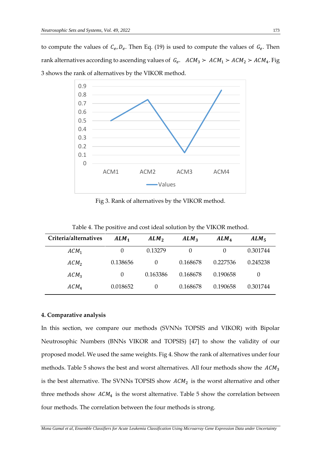to compute the values of  $C_e$ ,  $D_e$ . Then Eq. (19) is used to compute the values of  $G_e$ . Then rank alternatives according to ascending values of  $G_e$ .  $ACM_3 > ACM_1 > ACM_2 > ACM_4$ . Fig 3 shows the rank of alternatives by the VIKOR method.



Fig 3. Rank of alternatives by the VIKOR method.

Table 4. The positive and cost ideal solution by the VIKOR method.

| Criteria/alternatives | $ALM_1$  | ALM <sub>2</sub> | ALM <sub>3</sub> | ALM <sub>4</sub> | ALM <sub>5</sub> |
|-----------------------|----------|------------------|------------------|------------------|------------------|
| $ACM_1$               |          | 0.13279          | 0                | $\theta$         | 0.301744         |
| ACM <sub>2</sub>      | 0.138656 | $\theta$         | 0.168678         | 0.227536         | 0.245238         |
| $ACM_3$               | $\theta$ | 0.163386         | 0.168678         | 0.190658         | $\theta$         |
| ACM <sub>4</sub>      | 0.018652 | $\theta$         | 0.168678         | 0.190658         | 0.301744         |

# **4. Comparative analysis**

In this section, we compare our methods (SVNNs TOPSIS and VIKOR) with Bipolar Neutrosophic Numbers (BNNs VIKOR and TOPSIS) [47] to show the validity of our proposed model. We used the same weights. Fig 4. Show the rank of alternatives under four methods. Table 5 shows the best and worst alternatives. All four methods show the  $ACM_3$ is the best alternative. The SVNNs TOPSIS show  $ACM<sub>2</sub>$  is the worst alternative and other three methods show  $ACM<sub>4</sub>$  is the worst alternative. Table 5 show the correlation between four methods. The correlation between the four methods is strong.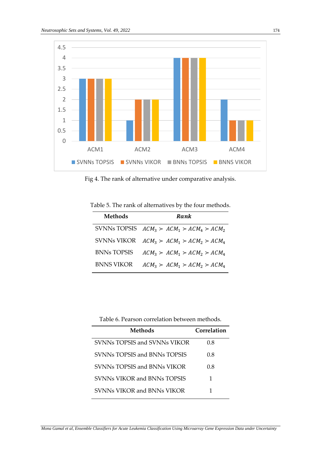

Fig 4. The rank of alternative under comparative analysis.

Table 5. The rank of alternatives by the four methods.

| <b>Methods</b>    | Rank                                         |
|-------------------|----------------------------------------------|
|                   | SVNNs TOPSIS $ACM_3 > ACM_1 > ACM_4 > ACM_2$ |
|                   | SVNNs VIKOR $ACM_3 > ACM_1 > ACM_2 > ACM_4$  |
| BNNs TOPSIS       | $ACM_3 > ACM_1 > ACM_2 > ACM_4$              |
| <b>BNNS VIKOR</b> | $ACM_3 > ACM_1 > ACM_2 > ACM_4$              |

Table 6. Pearson correlation between methods.

| Methods                      | Correlation |
|------------------------------|-------------|
| SVNNs TOPSIS and SVNNs VIKOR | 0.8         |
| SVNNs TOPSIS and BNNs TOPSIS | 0.8         |
| SVNNs TOPSIS and BNNs VIKOR  | 0.8         |
| SVNNs VIKOR and BNNs TOPSIS  | 1           |
| SVNNs VIKOR and BNNs VIKOR   |             |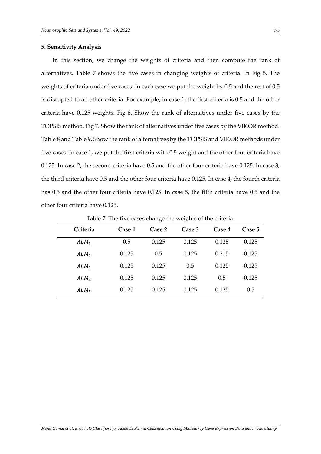## **5. Sensitivity Analysis**

In this section, we change the weights of criteria and then compute the rank of alternatives. Table 7 shows the five cases in changing weights of criteria. In Fig 5. The weights of criteria under five cases. In each case we put the weight by 0.5 and the rest of 0.5 is disrupted to all other criteria. For example, in case 1, the first criteria is 0.5 and the other criteria have 0.125 weights. Fig 6. Show the rank of alternatives under five cases by the TOPSIS method. Fig 7. Show the rank of alternatives under five cases by the VIKOR method. Table 8 and Table 9. Show the rank of alternatives by the TOPSIS and VIKOR methods under five cases. In case 1, we put the first criteria with 0.5 weight and the other four criteria have 0.125. In case 2, the second criteria have 0.5 and the other four criteria have 0.125. In case 3, the third criteria have 0.5 and the other four criteria have 0.125. In case 4, the fourth criteria has 0.5 and the other four criteria have 0.125. In case 5, the fifth criteria have 0.5 and the other four criteria have 0.125.

| Criteria         | Case 1 | Case 2 | Case 3 | Case 4 | Case 5 |
|------------------|--------|--------|--------|--------|--------|
| $ALM_1$          | 0.5    | 0.125  | 0.125  | 0.125  | 0.125  |
| ALM <sub>2</sub> | 0.125  | 0.5    | 0.125  | 0.215  | 0.125  |
| $ALM_3$          | 0.125  | 0.125  | 0.5    | 0.125  | 0.125  |
| ALM <sub>4</sub> | 0.125  | 0.125  | 0.125  | 0.5    | 0.125  |
| $ALM_5$          | 0.125  | 0.125  | 0.125  | 0.125  | 0.5    |
|                  |        |        |        |        |        |

Table 7. The five cases change the weights of the criteria.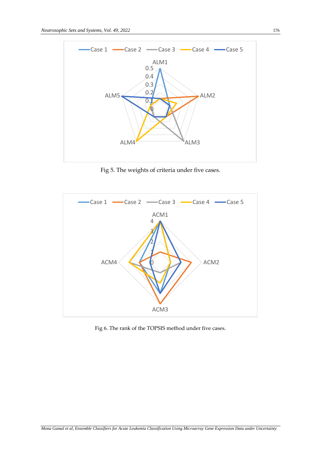

Fig 5. The weights of criteria under five cases.



Fig 6. The rank of the TOPSIS method under five cases.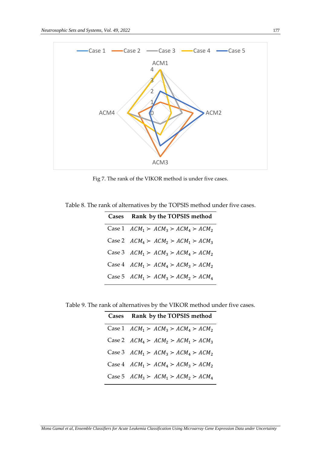

Fig 7. The rank of the VIKOR method is under five cases.

Table 8. The rank of alternatives by the TOPSIS method under five cases.

| Cases Rank by the TOPSIS method        |
|----------------------------------------|
| Case 1 $ACM_1 > ACM_3 > ACM_4 > ACM_2$ |
| Case 2 $ACM_4 > ACM_2 > ACM_1 > ACM_3$ |
| Case 3 $ACM_1 > ACM_3 > ACM_4 > ACM_2$ |
| Case 4 $ACM_1 > ACM_4 > ACM_3 > ACM_2$ |
| Case 5 $ACM_1 > ACM_3 > ACM_2 > ACM_4$ |

Table 9. The rank of alternatives by the VIKOR method under five cases.

| Cases Rank by the TOPSIS method        |
|----------------------------------------|
| Case 1 $ACM_1 > ACM_3 > ACM_4 > ACM_2$ |
| Case 2 $ACM_4 > ACM_2 > ACM_1 > ACM_3$ |
| Case 3 $ACM_1 > ACM_3 > ACM_4 > ACM_2$ |
| Case 4 $ACM_1 > ACM_4 > ACM_3 > ACM_2$ |
| Case 5 $ACM_3 > ACM_1 > ACM_2 > ACM_4$ |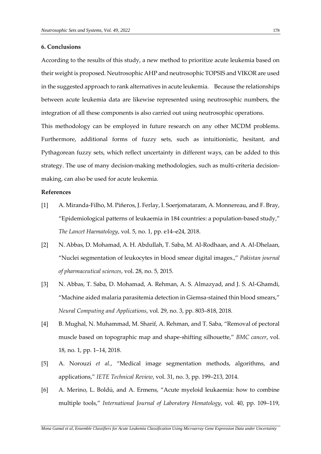## **6. Conclusions**

According to the results of this study, a new method to prioritize acute leukemia based on their weight is proposed. Neutrosophic AHP and neutrosophic TOPSIS and VIKOR are used in the suggested approach to rank alternatives in acute leukemia. Because the relationships between acute leukemia data are likewise represented using neutrosophic numbers, the integration of all these components is also carried out using neutrosophic operations.

This methodology can be employed in future research on any other MCDM problems. Furthermore, additional forms of fuzzy sets, such as intuitionistic, hesitant, and Pythagorean fuzzy sets, which reflect uncertainty in different ways, can be added to this strategy. The use of many decision-making methodologies, such as multi-criteria decisionmaking, can also be used for acute leukemia.

## **References**

- [1] A. Miranda-Filho, M. Piñeros, J. Ferlay, I. Soerjomataram, A. Monnereau, and F. Bray, "Epidemiological patterns of leukaemia in 184 countries: a population-based study," *The Lancet Haematology*, vol. 5, no. 1, pp. e14–e24, 2018.
- [2] N. Abbas, D. Mohamad, A. H. Abdullah, T. Saba, M. Al-Rodhaan, and A. Al-Dhelaan, "Nuclei segmentation of leukocytes in blood smear digital images.," *Pakistan journal of pharmaceutical sciences*, vol. 28, no. 5, 2015.
- [3] N. Abbas, T. Saba, D. Mohamad, A. Rehman, A. S. Almazyad, and J. S. Al-Ghamdi, "Machine aided malaria parasitemia detection in Giemsa-stained thin blood smears," *Neural Computing and Applications*, vol. 29, no. 3, pp. 803–818, 2018.
- [4] B. Mughal, N. Muhammad, M. Sharif, A. Rehman, and T. Saba, "Removal of pectoral muscle based on topographic map and shape-shifting silhouette," *BMC cancer*, vol. 18, no. 1, pp. 1–14, 2018.
- [5] A. Norouzi *et al.*, "Medical image segmentation methods, algorithms, and applications," *IETE Technical Review*, vol. 31, no. 3, pp. 199–213, 2014.
- [6] A. Merino, L. Boldú, and A. Ermens, "Acute myeloid leukaemia: how to combine multiple tools," *International Journal of Laboratory Hematology*, vol. 40, pp. 109–119,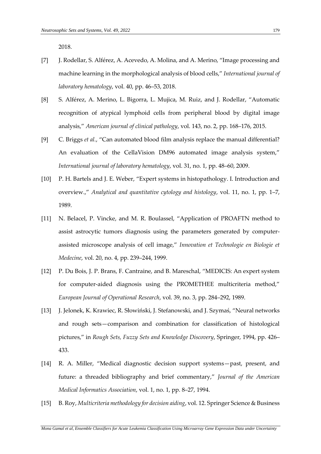2018.

- [7] J. Rodellar, S. Alférez, A. Acevedo, A. Molina, and A. Merino, "Image processing and machine learning in the morphological analysis of blood cells," *International journal of laboratory hematology*, vol. 40, pp. 46–53, 2018.
- [8] S. Alférez, A. Merino, L. Bigorra, L. Mujica, M. Ruiz, and J. Rodellar, "Automatic recognition of atypical lymphoid cells from peripheral blood by digital image analysis," *American journal of clinical pathology*, vol. 143, no. 2, pp. 168–176, 2015.
- [9] C. Briggs *et al.*, "Can automated blood film analysis replace the manual differential? An evaluation of the CellaVision DM96 automated image analysis system," *International journal of laboratory hematology*, vol. 31, no. 1, pp. 48–60, 2009.
- [10] P. H. Bartels and J. E. Weber, "Expert systems in histopathology. I. Introduction and overview.," *Analytical and quantitative cytology and histology*, vol. 11, no. 1, pp. 1–7, 1989.
- [11] N. Belacel, P. Vincke, and M. R. Boulassel, "Application of PROAFTN method to assist astrocytic tumors diagnosis using the parameters generated by computerassisted microscope analysis of cell image," *Innovation et Technologie en Biologie et Medecine*, vol. 20, no. 4, pp. 239–244, 1999.
- [12] P. Du Bois, J. P. Brans, F. Cantraine, and B. Mareschal, "MEDICIS: An expert system for computer-aided diagnosis using the PROMETHEE multicriteria method," *European Journal of Operational Research*, vol. 39, no. 3, pp. 284–292, 1989.
- [13] J. Jelonek, K. Krawiec, R. Słowiński, J. Stefanowski, and J. Szymaś, "Neural networks and rough sets—comparison and combination for classification of histological pictures," in *Rough Sets, Fuzzy Sets and Knowledge Discovery*, Springer, 1994, pp. 426– 433.
- [14] R. A. Miller, "Medical diagnostic decision support systems—past, present, and future: a threaded bibliography and brief commentary," *Journal of the American Medical Informatics Association*, vol. 1, no. 1, pp. 8–27, 1994.
- [15] B. Roy, *Multicriteria methodology for decision aiding*, vol. 12. Springer Science & Business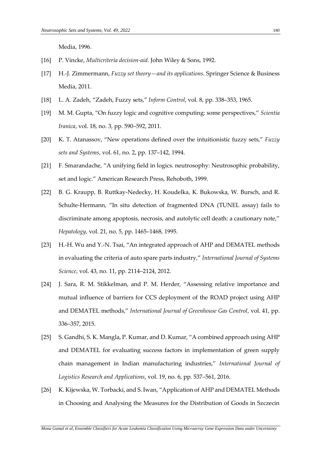Media, 1996.

- [16] P. Vincke, *Multicriteria decision-aid*. John Wiley & Sons, 1992.
- [17] H.-J. Zimmermann, *Fuzzy set theory—and its applications*. Springer Science & Business Media, 2011.
- [18] L. A. Zadeh, "Zadeh, Fuzzy sets," *Inform Control*, vol. 8, pp. 338–353, 1965.
- [19] M. M. Gupta, "On fuzzy logic and cognitive computing: some perspectives," *Scientia Iranica*, vol. 18, no. 3, pp. 590–592, 2011.
- [20] K. T. Atanassov, "New operations defined over the intuitionistic fuzzy sets," *Fuzzy sets and Systems*, vol. 61, no. 2, pp. 137–142, 1994.
- [21] F. Smarandache, "A unifying field in logics. neutrosophy: Neutrosophic probability, set and logic." American Research Press, Rehoboth, 1999.
- [22] B. G. Kraupp, B. Ruttkay‐Nedecky, H. Koudelka, K. Bukowska, W. Bursch, and R. Schulte-Hermann, "In situ detection of fragmented DNA (TUNEL assay) fails to discriminate among apoptosis, necrosis, and autolytic cell death: a cautionary note," *Hepatology*, vol. 21, no. 5, pp. 1465–1468, 1995.
- [23] H.-H. Wu and Y.-N. Tsai, "An integrated approach of AHP and DEMATEL methods in evaluating the criteria of auto spare parts industry," *International Journal of Systems Science*, vol. 43, no. 11, pp. 2114–2124, 2012.
- [24] J. Sara, R. M. Stikkelman, and P. M. Herder, "Assessing relative importance and mutual influence of barriers for CCS deployment of the ROAD project using AHP and DEMATEL methods," *International Journal of Greenhouse Gas Control*, vol. 41, pp. 336–357, 2015.
- [25] S. Gandhi, S. K. Mangla, P. Kumar, and D. Kumar, "A combined approach using AHP and DEMATEL for evaluating success factors in implementation of green supply chain management in Indian manufacturing industries," *International Journal of Logistics Research and Applications*, vol. 19, no. 6, pp. 537–561, 2016.
- [26] K. Kijewska, W. Torbacki, and S. Iwan, "Application of AHP and DEMATEL Methods in Choosing and Analysing the Measures for the Distribution of Goods in Szczecin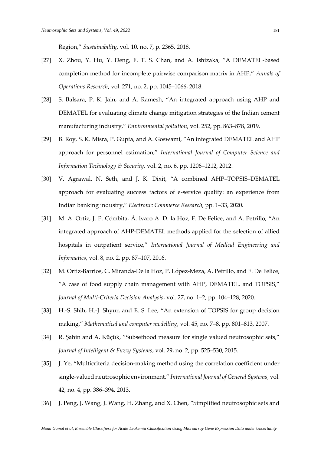Region," *Sustainability*, vol. 10, no. 7, p. 2365, 2018.

- [27] X. Zhou, Y. Hu, Y. Deng, F. T. S. Chan, and A. Ishizaka, "A DEMATEL-based completion method for incomplete pairwise comparison matrix in AHP," *Annals of Operations Research*, vol. 271, no. 2, pp. 1045–1066, 2018.
- [28] S. Balsara, P. K. Jain, and A. Ramesh, "An integrated approach using AHP and DEMATEL for evaluating climate change mitigation strategies of the Indian cement manufacturing industry," *Environmental pollution*, vol. 252, pp. 863–878, 2019.
- [29] B. Roy, S. K. Misra, P. Gupta, and A. Goswami, "An integrated DEMATEL and AHP approach for personnel estimation," *International Journal of Computer Science and Information Technology & Security*, vol. 2, no. 6, pp. 1206–1212, 2012.
- [30] V. Agrawal, N. Seth, and J. K. Dixit, "A combined AHP–TOPSIS–DEMATEL approach for evaluating success factors of e-service quality: an experience from Indian banking industry," *Electronic Commerce Research*, pp. 1–33, 2020.
- [31] M. A. Ortíz, J. P. Cómbita, Á. lvaro A. D. la Hoz, F. De Felice, and A. Petrillo, "An integrated approach of AHP-DEMATEL methods applied for the selection of allied hospitals in outpatient service," *International Journal of Medical Engineering and Informatics*, vol. 8, no. 2, pp. 87–107, 2016.
- [32] M. Ortiz-Barrios, C. Miranda-De la Hoz, P. López-Meza, A. Petrillo, and F. De Felice, "A case of food supply chain management with AHP, DEMATEL, and TOPSIS," *Journal of Multi‐Criteria Decision Analysis*, vol. 27, no. 1–2, pp. 104–128, 2020.
- [33] H.-S. Shih, H.-J. Shyur, and E. S. Lee, "An extension of TOPSIS for group decision making," *Mathematical and computer modelling*, vol. 45, no. 7–8, pp. 801–813, 2007.
- [34] R. Şahin and A. Küçük, "Subsethood measure for single valued neutrosophic sets," *Journal of Intelligent & Fuzzy Systems*, vol. 29, no. 2, pp. 525–530, 2015.
- [35] J. Ye, "Multicriteria decision-making method using the correlation coefficient under single-valued neutrosophic environment," *International Journal of General Systems*, vol. 42, no. 4, pp. 386–394, 2013.
- [36] J. Peng, J. Wang, J. Wang, H. Zhang, and X. Chen, "Simplified neutrosophic sets and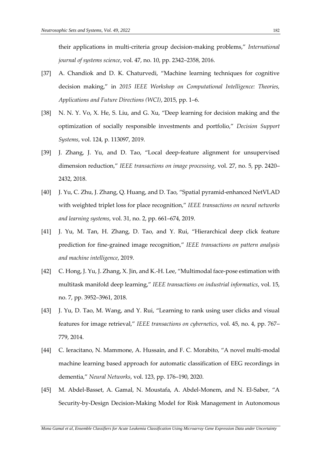their applications in multi-criteria group decision-making problems," *International journal of systems science*, vol. 47, no. 10, pp. 2342–2358, 2016.

- [37] A. Chandiok and D. K. Chaturvedi, "Machine learning techniques for cognitive decision making," in *2015 IEEE Workshop on Computational Intelligence: Theories, Applications and Future Directions (WCI)*, 2015, pp. 1–6.
- [38] N. N. Y. Vo, X. He, S. Liu, and G. Xu, "Deep learning for decision making and the optimization of socially responsible investments and portfolio," *Decision Support Systems*, vol. 124, p. 113097, 2019.
- [39] J. Zhang, J. Yu, and D. Tao, "Local deep-feature alignment for unsupervised dimension reduction," *IEEE transactions on image processing*, vol. 27, no. 5, pp. 2420– 2432, 2018.
- [40] J. Yu, C. Zhu, J. Zhang, Q. Huang, and D. Tao, "Spatial pyramid-enhanced NetVLAD with weighted triplet loss for place recognition," *IEEE transactions on neural networks and learning systems*, vol. 31, no. 2, pp. 661–674, 2019.
- [41] J. Yu, M. Tan, H. Zhang, D. Tao, and Y. Rui, "Hierarchical deep click feature prediction for fine-grained image recognition," *IEEE transactions on pattern analysis and machine intelligence*, 2019.
- [42] C. Hong, J. Yu, J. Zhang, X. Jin, and K.-H. Lee, "Multimodal face-pose estimation with multitask manifold deep learning," *IEEE transactions on industrial informatics*, vol. 15, no. 7, pp. 3952–3961, 2018.
- [43] J. Yu, D. Tao, M. Wang, and Y. Rui, "Learning to rank using user clicks and visual features for image retrieval," *IEEE transactions on cybernetics*, vol. 45, no. 4, pp. 767– 779, 2014.
- [44] C. Ieracitano, N. Mammone, A. Hussain, and F. C. Morabito, "A novel multi-modal machine learning based approach for automatic classification of EEG recordings in dementia," *Neural Networks*, vol. 123, pp. 176–190, 2020.
- [45] M. Abdel-Basset, A. Gamal, N. Moustafa, A. Abdel-Monem, and N. El-Saber, "A Security-by-Design Decision-Making Model for Risk Management in Autonomous